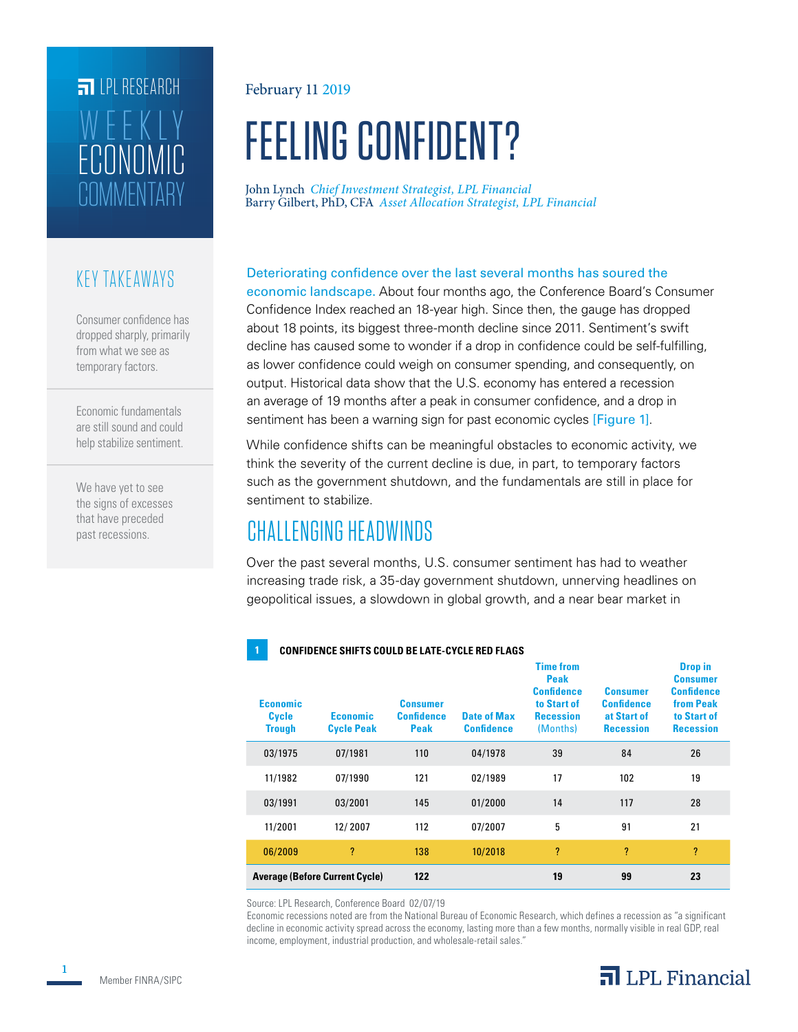# **FILPL RESEARCH** COMMENTARY ECONOMIC WEEKLY

#### KEY TAKEAWAYS

Consumer confidence has dropped sharply, primarily from what we see as temporary factors.

Economic fundamentals are still sound and could help stabilize sentiment.

We have yet to see the signs of excesses that have preceded past recessions.

#### February 11 2019

# FEELING CONFIDENT?

John Lynch *Chief Investment Strategist, LPL Financial* Barry Gilbert, PhD, CFA *Asset Allocation Strategist, LPL Financial*

#### Deteriorating confidence over the last several months has soured the

economic landscape. About four months ago, the Conference Board's Consumer Confidence Index reached an 18-year high. Since then, the gauge has dropped about 18 points, its biggest three-month decline since 2011. Sentiment's swift decline has caused some to wonder if a drop in confidence could be self-fulfilling, as lower confidence could weigh on consumer spending, and consequently, on output. Historical data show that the U.S. economy has entered a recession an average of 19 months after a peak in consumer confidence, and a drop in sentiment has been a warning sign for past economic cycles [Figure 1].

While confidence shifts can be meaningful obstacles to economic activity, we think the severity of the current decline is due, in part, to temporary factors such as the government shutdown, and the fundamentals are still in place for sentiment to stabilize.

# CHALLENGING HEADWINDS

**1 CONFIDENCE SHIFTS COULD BE LATE-CYCLE RED FLAGS**

Over the past several months, U.S. consumer sentiment has had to weather increasing trade risk, a 35-day government shutdown, unnerving headlines on geopolitical issues, a slowdown in global growth, and a near bear market in

#### **Economic Cycle Trough Economic Cycle Peak Consumer Confidence Peak Date of Max Confidence Time from Peak Confidence to Start of Recession**  (Months) **Consumer Confidence at Start of Recession Drop in Consumer Confidence from Peak to Start of Recession** 03/1975 07/1981 110 04/1978 39 84 26 11/1982 07/1990 121 02/1989 17 102 19 03/1991 03/2001 145 01/2000 14 117 28 11/2001 12/ 2007 112 07/2007 5 91 21 06/2009 ? 138 10/2018 ? ? ? **Average (Before Current Cycle) 122 19 99 23**

Source: LPL Research, Conference Board 02/07/19

Economic recessions noted are from the National Bureau of Economic Research, which defines a recession as "a significant decline in economic activity spread across the economy, lasting more than a few months, normally visible in real GDP, real income, employment, industrial production, and wholesale-retail sales."

### $\overline{\mathbf{a}}$  LPL Financial

**1**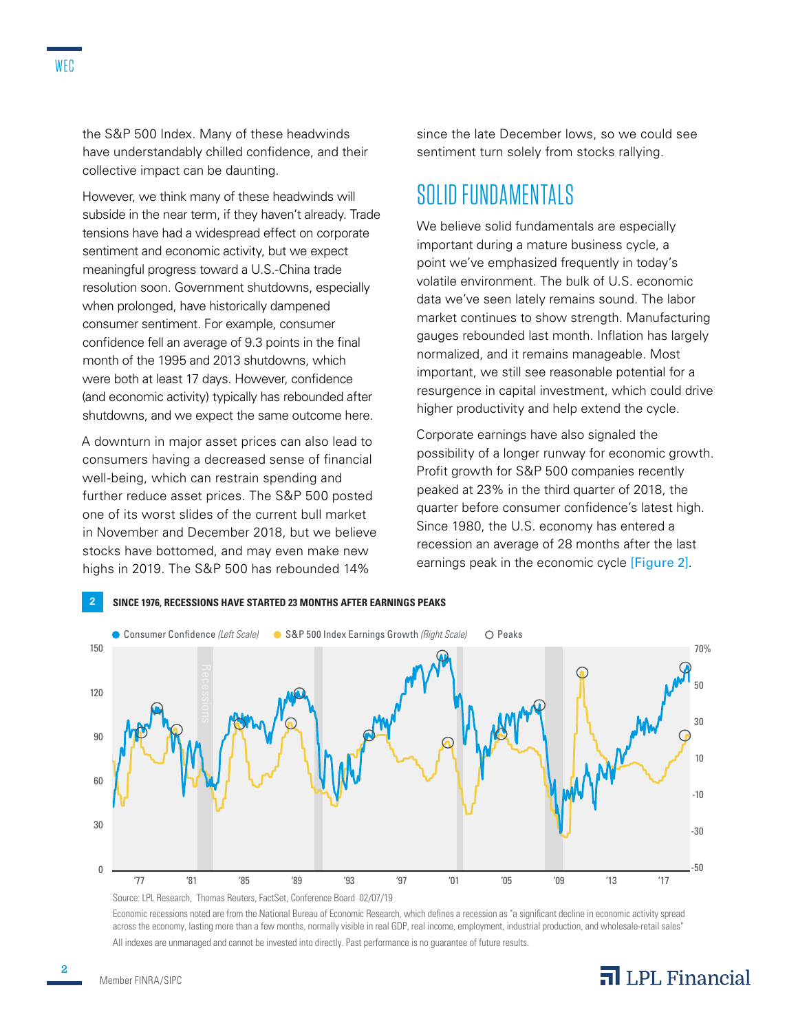the S&P 500 Index. Many of these headwinds have understandably chilled confidence, and their collective impact can be daunting.

However, we think many of these headwinds will subside in the near term, if they haven't already. Trade tensions have had a widespread effect on corporate sentiment and economic activity, but we expect meaningful progress toward a U.S.-China trade resolution soon. Government shutdowns, especially when prolonged, have historically dampened consumer sentiment. For example, consumer confidence fell an average of 9.3 points in the final month of the 1995 and 2013 shutdowns, which were both at least 17 days. However, confidence (and economic activity) typically has rebounded after shutdowns, and we expect the same outcome here.

A downturn in major asset prices can also lead to consumers having a decreased sense of financial well-being, which can restrain spending and further reduce asset prices. The S&P 500 posted one of its worst slides of the current bull market in November and December 2018, but we believe stocks have bottomed, and may even make new highs in 2019. The S&P 500 has rebounded 14%

since the late December lows, so we could see sentiment turn solely from stocks rallying.

#### SOLID FUNDAMENTALS

We believe solid fundamentals are especially important during a mature business cycle, a point we've emphasized frequently in today's volatile environment. The bulk of U.S. economic data we've seen lately remains sound. The labor market continues to show strength. Manufacturing gauges rebounded last month. Inflation has largely normalized, and it remains manageable. Most important, we still see reasonable potential for a resurgence in capital investment, which could drive higher productivity and help extend the cycle.

Corporate earnings have also signaled the possibility of a longer runway for economic growth. Profit growth for S&P 500 companies recently peaked at 23% in the third quarter of 2018, the quarter before consumer confidence's latest high. Since 1980, the U.S. economy has entered a recession an average of 28 months after the last earnings peak in the economic cycle [Figure 2].



Economic recessions noted are from the National Bureau of Economic Research, which defines a recession as "a significant decline in economic activity spread across the economy, lasting more than a few months, normally visible in real GDP, real income, employment, industrial production, and wholesale-retail sales" All indexes are unmanaged and cannot be invested into directly. Past performance is no guarantee of future results.

**2**

#### $\overline{\mathbf{a}}$  LPL Financial